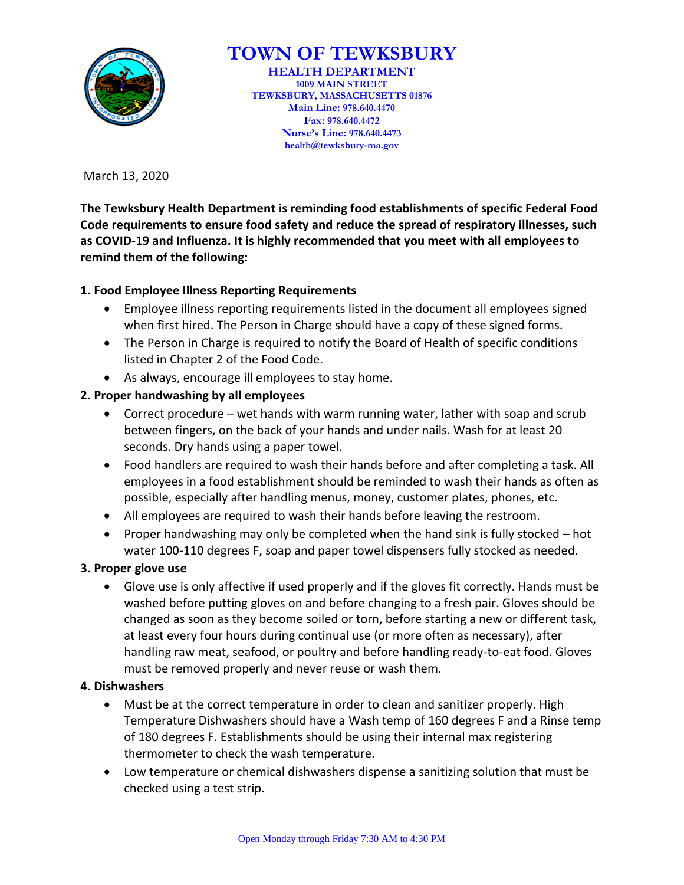

# **TOWN OF TEWKSBURY**

**HEALTH DEPARTMENT 1009 MAIN STREET TEWKSBURY, MASSACHUSETTS 01876 Main Line: 978.640.4470 Fax: 978.640.4472 Nurse's Line: 978.640.4473 health@tewksbury-ma.gov**

March 13, 2020

**The Tewksbury Health Department is reminding food establishments of specific Federal Food Code requirements to ensure food safety and reduce the spread of respiratory illnesses, such as COVID-19 and Influenza. It is highly recommended that you meet with all employees to remind them of the following:** 

## **1. Food Employee Illness Reporting Requirements**

- Employee illness reporting requirements listed in the document all employees signed when first hired. The Person in Charge should have a copy of these signed forms.
- The Person in Charge is required to notify the Board of Health of specific conditions listed in Chapter 2 of the Food Code.
- As always, encourage ill employees to stay home.
- **2. Proper handwashing by all employees** 
	- Correct procedure wet hands with warm running water, lather with soap and scrub between fingers, on the back of your hands and under nails. Wash for at least 20 seconds. Dry hands using a paper towel.
	- Food handlers are required to wash their hands before and after completing a task. All employees in a food establishment should be reminded to wash their hands as often as possible, especially after handling menus, money, customer plates, phones, etc.
	- All employees are required to wash their hands before leaving the restroom.
	- Proper handwashing may only be completed when the hand sink is fully stocked  $-$  hot water 100-110 degrees F, soap and paper towel dispensers fully stocked as needed.

## **3. Proper glove use**

 Glove use is only affective if used properly and if the gloves fit correctly. Hands must be washed before putting gloves on and before changing to a fresh pair. Gloves should be changed as soon as they become soiled or torn, before starting a new or different task, at least every four hours during continual use (or more often as necessary), after handling raw meat, seafood, or poultry and before handling ready-to-eat food. Gloves must be removed properly and never reuse or wash them.

## **4. Dishwashers**

- Must be at the correct temperature in order to clean and sanitizer properly. High Temperature Dishwashers should have a Wash temp of 160 degrees F and a Rinse temp of 180 degrees F. Establishments should be using their internal max registering thermometer to check the wash temperature.
- Low temperature or chemical dishwashers dispense a sanitizing solution that must be checked using a test strip.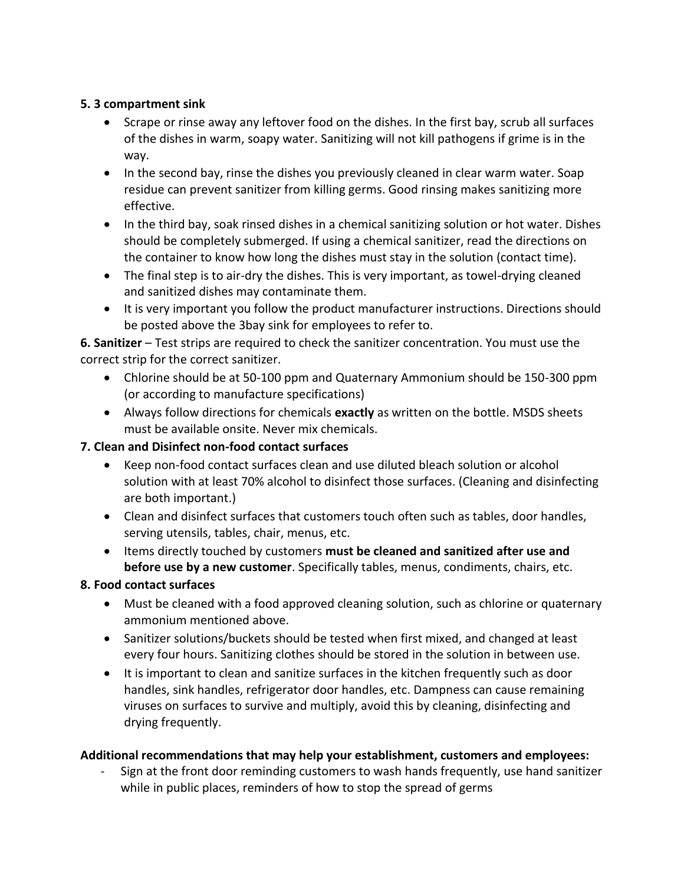## **5. 3 compartment sink**

- Scrape or rinse away any leftover food on the dishes. In the first bay, scrub all surfaces of the dishes in warm, soapy water. Sanitizing will not kill pathogens if grime is in the way.
- In the second bay, rinse the dishes you previously cleaned in clear warm water. Soap residue can prevent sanitizer from killing germs. Good rinsing makes sanitizing more effective.
- In the third bay, soak rinsed dishes in a chemical sanitizing solution or hot water. Dishes should be completely submerged. If using a chemical sanitizer, read the directions on the container to know how long the dishes must stay in the solution (contact time).
- The final step is to air-dry the dishes. This is very important, as towel-drying cleaned and sanitized dishes may contaminate them.
- It is very important you follow the product manufacturer instructions. Directions should be posted above the 3bay sink for employees to refer to.

**6. Sanitizer** – Test strips are required to check the sanitizer concentration. You must use the correct strip for the correct sanitizer.

- Chlorine should be at 50-100 ppm and Quaternary Ammonium should be 150-300 ppm (or according to manufacture specifications)
- Always follow directions for chemicals **exactly** as written on the bottle. MSDS sheets must be available onsite. Never mix chemicals.

## **7. Clean and Disinfect non-food contact surfaces**

- Keep non-food contact surfaces clean and use diluted bleach solution or alcohol solution with at least 70% alcohol to disinfect those surfaces. (Cleaning and disinfecting are both important.)
- Clean and disinfect surfaces that customers touch often such as tables, door handles, serving utensils, tables, chair, menus, etc.
- Items directly touched by customers **must be cleaned and sanitized after use and before use by a new customer**. Specifically tables, menus, condiments, chairs, etc.

## **8. Food contact surfaces**

- Must be cleaned with a food approved cleaning solution, such as chlorine or quaternary ammonium mentioned above.
- Sanitizer solutions/buckets should be tested when first mixed, and changed at least every four hours. Sanitizing clothes should be stored in the solution in between use.
- It is important to clean and sanitize surfaces in the kitchen frequently such as door handles, sink handles, refrigerator door handles, etc. Dampness can cause remaining viruses on surfaces to survive and multiply, avoid this by cleaning, disinfecting and drying frequently.

## **Additional recommendations that may help your establishment, customers and employees:**

Sign at the front door reminding customers to wash hands frequently, use hand sanitizer while in public places, reminders of how to stop the spread of germs